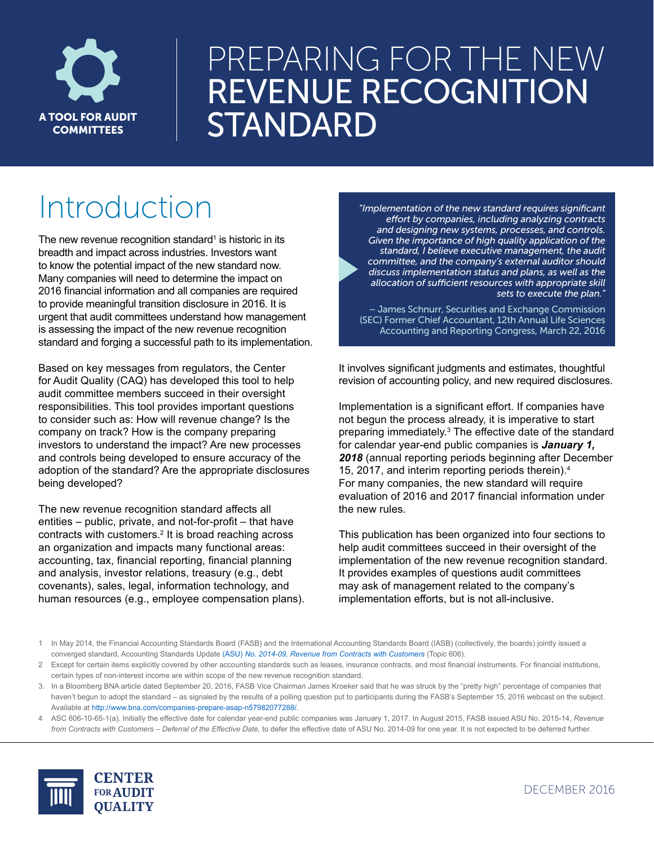

# PREPARING FOR THE NEW REVENUE RECOGNITION A TOOL FOR AUDIT | STANDARD

# Introduction *"Implementation of the new standard requires significant*

The new revenue recognition standard<sup>1</sup> is historic in its breadth and impact across industries. Investors want to know the potential impact of the new standard now. Many companies will need to determine the impact on 2016 financial information and all companies are required to provide meaningful transition disclosure in 2016. It is urgent that audit committees understand how management is assessing the impact of the new revenue recognition standard and forging a successful path to its implementation.

Based on key messages from regulators, the Center for Audit Quality (CAQ) has developed this tool to help audit committee members succeed in their oversight responsibilities. This tool provides important questions to consider such as: How will revenue change? Is the company on track? How is the company preparing investors to understand the impact? Are new processes and controls being developed to ensure accuracy of the adoption of the standard? Are the appropriate disclosures being developed?

The new revenue recognition standard affects all entities – public, private, and not-for-profit – that have contracts with customers.<sup>2</sup> It is broad reaching across an organization and impacts many functional areas: accounting, tax, financial reporting, financial planning and analysis, investor relations, treasury (e.g., debt covenants), sales, legal, information technology, and human resources (e.g., employee compensation plans).

*effort by companies, including analyzing contracts and designing new systems, processes, and controls. Given the importance of high quality application of the standard, I believe executive management, the audit committee, and the company's external auditor should discuss implementation status and plans, as well as the allocation of sufficient resources with appropriate skill sets to execute the plan."* 

– James Schnurr, Securities and Exchange Commission (SEC) Former Chief Accountant, 12th Annual Life Sciences Accounting and Reporting Congress, March 22, 2016

It involves significant judgments and estimates, thoughtful revision of accounting policy, and new required disclosures.

Implementation is a significant effort. If companies have not begun the process already, it is imperative to start preparing immediately.<sup>3</sup> The effective date of the standard for calendar year-end public companies is *January 1, 2018* (annual reporting periods beginning after December 15, 2017, and interim reporting periods therein).4 For many companies, the new standard will require evaluation of 2016 and 2017 financial information under the new rules.

This publication has been organized into four sections to help audit committees succeed in their oversight of the implementation of the new revenue recognition standard. It provides examples of questions audit committees may ask of management related to the company's implementation efforts, but is not all-inclusive.

<sup>4</sup> ASC 606-10-65-1(a). Initially the effective date for calendar year-end public companies was January 1, 2017. In August 2015, FASB issued ASU No. 2015-14, *Revenue from Contracts with Customers – Deferral of the Effective Date,* to defer the effective date of ASU No. 2014-09 for one year. It is not expected to be deferred further.



<sup>1</sup> In May 2014, the Financial Accounting Standards Board (FASB) and the International Accounting Standards Board (IASB) (collectively, the boards) jointly issued a converged standard, Accounting Standards Update (ASU) *[No. 2014-09, Revenue from Contracts with Customers](http://www.fasb.org/jsp/FASB/Document_C/DocumentPage?cid=1176164076069&acceptedDisclaimer=true)* (Topic 606).

<sup>2</sup> Except for certain items explicitly covered by other accounting standards such as leases, insurance contracts, and most financial instruments. For financial institutions, certain types of non-interest income are within scope of the new revenue recognition standard.

<sup>3.</sup> In a Bloomberg BNA article dated September 20, 2016, FASB Vice Chairman James Kroeker said that he was struck by the "pretty high" percentage of companies that haven't begun to adopt the standard – as signaled by the results of a polling question put to participants during the FASB's September 15, 2016 webcast on the subject. Available at [http://www.bna.com/companies-prepare-asap-n57982077288/.](http://www.bna.com/companies-prepare-asap-n57982077288/)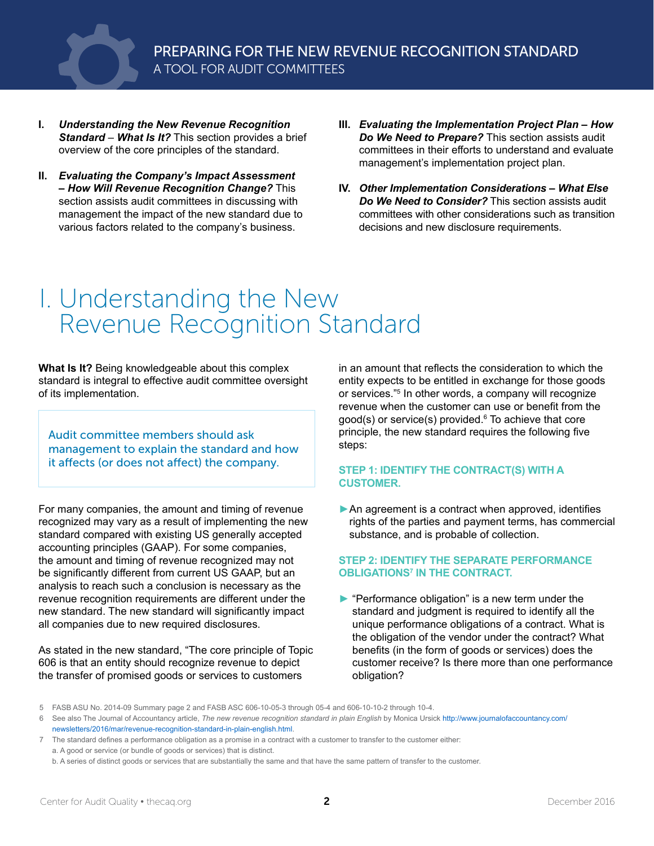

- **I.** *Understanding the New Revenue Recognition Standard* – *What Is It?* This section provides a brief overview of the core principles of the standard.
- **II.** *Evaluating the Company's Impact Assessment – How Will Revenue Recognition Change?* This section assists audit committees in discussing with management the impact of the new standard due to various factors related to the company's business.
- **III.** *Evaluating the Implementation Project Plan How Do We Need to Prepare?* This section assists audit committees in their efforts to understand and evaluate management's implementation project plan.
- **IV.** *Other Implementation Considerations What Else Do We Need to Consider?* This section assists audit committees with other considerations such as transition decisions and new disclosure requirements.

### I. Understanding the New Revenue Recognition Standard

**What Is It?** Being knowledgeable about this complex standard is integral to effective audit committee oversight of its implementation.

Audit committee members should ask management to explain the standard and how it affects (or does not affect) the company.

For many companies, the amount and timing of revenue recognized may vary as a result of implementing the new standard compared with existing US generally accepted accounting principles (GAAP). For some companies, the amount and timing of revenue recognized may not be significantly different from current US GAAP, but an analysis to reach such a conclusion is necessary as the revenue recognition requirements are different under the new standard. The new standard will significantly impact all companies due to new required disclosures.

As stated in the new standard, "The core principle of Topic 606 is that an entity should recognize revenue to depict the transfer of promised goods or services to customers

in an amount that reflects the consideration to which the entity expects to be entitled in exchange for those goods or services."5 In other words, a company will recognize revenue when the customer can use or benefit from the good(s) or service(s) provided.6 To achieve that core principle, the new standard requires the following five steps:

#### **STEP 1: IDENTIFY THE CONTRACT(S) WITH A CUSTOMER.**

▶ An agreement is a contract when approved, identifies rights of the parties and payment terms, has commercial substance, and is probable of collection.

#### **STEP 2: IDENTIFY THE SEPARATE PERFORMANCE OBLIGATIONS7 IN THE CONTRACT.**

► "Performance obligation" is a new term under the standard and judgment is required to identify all the unique performance obligations of a contract. What is the obligation of the vendor under the contract? What benefits (in the form of goods or services) does the customer receive? Is there more than one performance obligation?

<sup>5</sup> FASB ASU No. 2014-09 Summary page 2 and FASB ASC 606-10-05-3 through 05-4 and 606-10-10-2 through 10-4.

<sup>6</sup> See also The Journal of Accountancy article, *[The new revenue recognition standard in plain English](http://www.journalofaccountancy.com/newsletters/2016/mar/revenue-recognition-standard-in-plain-english.html )* by Monica Ursick [http://www.journalofaccountancy.com/](http://www.journalofaccountancy.com/newsletters/2016/mar/revenue-recognition-standard-in-plain-english.html) [newsletters/2016/mar/revenue-recognition-standard-in-plain-english.html.](http://www.journalofaccountancy.com/newsletters/2016/mar/revenue-recognition-standard-in-plain-english.html)

<sup>7</sup> The standard defines a performance obligation as a promise in a contract with a customer to transfer to the customer either: a. A good or service (or bundle of goods or services) that is distinct.

b. A series of distinct goods or services that are substantially the same and that have the same pattern of transfer to the customer.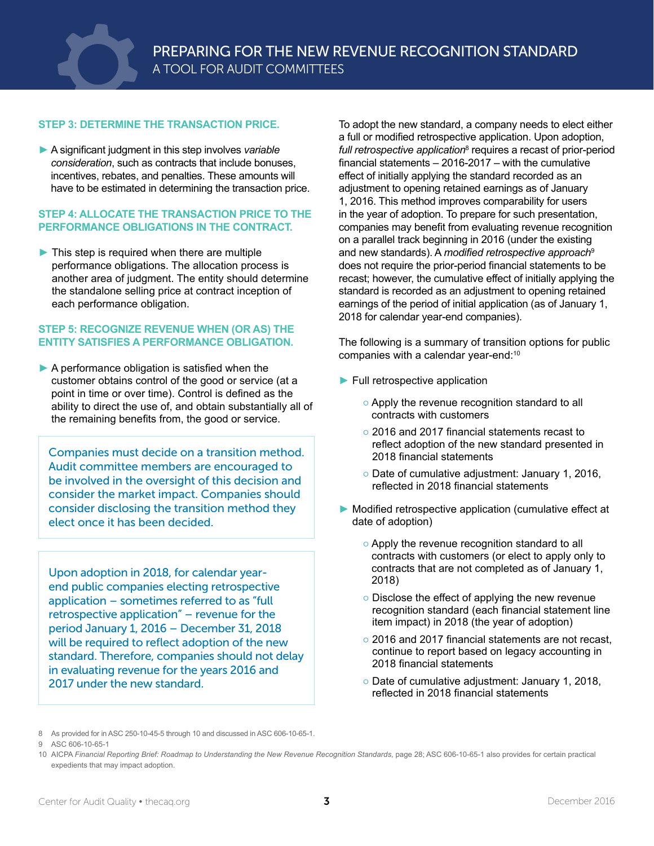

#### **STEP 3: DETERMINE THE TRANSACTION PRICE.**

► A significant judgment in this step involves *variable consideration*, such as contracts that include bonuses, incentives, rebates, and penalties. These amounts will have to be estimated in determining the transaction price.

#### **STEP 4: ALLOCATE THE TRANSACTION PRICE TO THE PERFORMANCE OBLIGATIONS IN THE CONTRACT.**

► This step is required when there are multiple performance obligations. The allocation process is another area of judgment. The entity should determine the standalone selling price at contract inception of each performance obligation.

#### **STEP 5: RECOGNIZE REVENUE WHEN (OR AS) THE ENTITY SATISFIES A PERFORMANCE OBLIGATION.**

▶ A performance obligation is satisfied when the customer obtains control of the good or service (at a point in time or over time). Control is defined as the ability to direct the use of, and obtain substantially all of the remaining benefits from, the good or service.

Companies must decide on a transition method. Audit committee members are encouraged to be involved in the oversight of this decision and consider the market impact. Companies should consider disclosing the transition method they elect once it has been decided.

Upon adoption in 2018, for calendar yearend public companies electing retrospective application – sometimes referred to as "full retrospective application" – revenue for the period January 1, 2016 – December 31, 2018 will be required to reflect adoption of the new standard. Therefore, companies should not delay in evaluating revenue for the years 2016 and 2017 under the new standard.

To adopt the new standard, a company needs to elect either a full or modified retrospective application. Upon adoption, full retrospective application<sup>8</sup> requires a recast of prior-period financial statements – 2016-2017 – with the cumulative effect of initially applying the standard recorded as an adjustment to opening retained earnings as of January 1, 2016. This method improves comparability for users in the year of adoption. To prepare for such presentation, companies may benefit from evaluating revenue recognition on a parallel track beginning in 2016 (under the existing and new standards). A *modified retrospective approach*<sup>9</sup> does not require the prior-period financial statements to be recast; however, the cumulative effect of initially applying the standard is recorded as an adjustment to opening retained earnings of the period of initial application (as of January 1, 2018 for calendar year-end companies).

The following is a summary of transition options for public companies with a calendar year-end:<sup>10</sup>

- ► Full retrospective application
	- Apply the revenue recognition standard to all contracts with customers
	- 2016 and 2017 financial statements recast to reflect adoption of the new standard presented in 2018 financial statements
	- Date of cumulative adjustment: January 1, 2016, reflected in 2018 financial statements
- ► Modified retrospective application (cumulative effect at date of adoption)
	- Apply the revenue recognition standard to all contracts with customers (or elect to apply only to contracts that are not completed as of January 1, 2018)
	- Disclose the effect of applying the new revenue recognition standard (each financial statement line item impact) in 2018 (the year of adoption)
	- 2016 and 2017 financial statements are not recast, continue to report based on legacy accounting in 2018 financial statements
	- Date of cumulative adjustment: January 1, 2018, reflected in 2018 financial statements

<sup>8</sup> As provided for in ASC 250-10-45-5 through 10 and discussed in ASC 606-10-65-1.

<sup>9</sup> ASC 606-10-65-1

<sup>10</sup> AICPA *Financial Reporting Brief: Roadmap to Understanding the New Revenue Recognition Standards*, page 28; ASC 606-10-65-1 also provides for certain practical expedients that may impact adoption.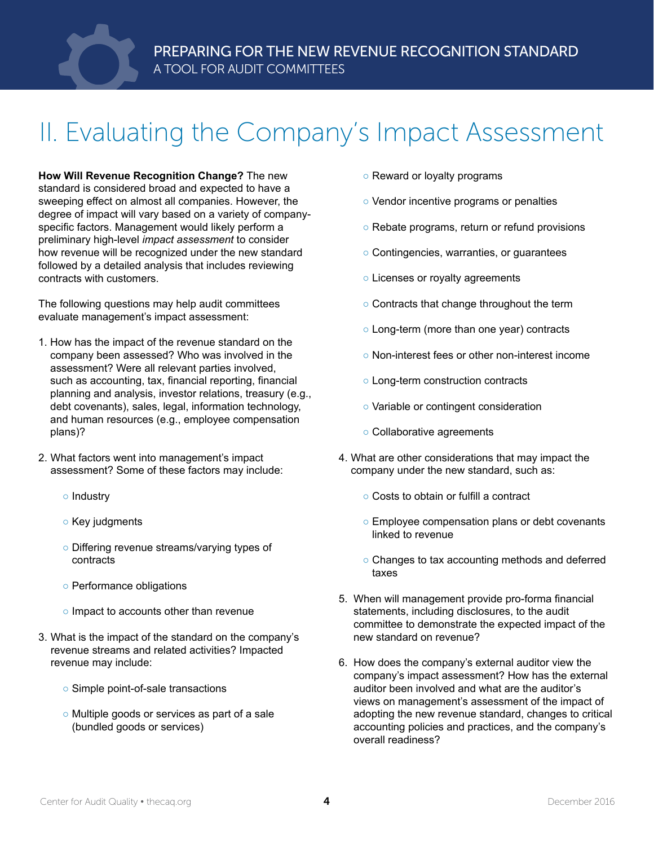

## II. Evaluating the Company's Impact Assessment

**How Will Revenue Recognition Change?** The new standard is considered broad and expected to have a sweeping effect on almost all companies. However, the degree of impact will vary based on a variety of companyspecific factors. Management would likely perform a preliminary high-level *impact assessment* to consider how revenue will be recognized under the new standard followed by a detailed analysis that includes reviewing contracts with customers.

The following questions may help audit committees evaluate management's impact assessment:

- 1. How has the impact of the revenue standard on the company been assessed? Who was involved in the assessment? Were all relevant parties involved, such as accounting, tax, financial reporting, financial planning and analysis, investor relations, treasury (e.g., debt covenants), sales, legal, information technology, and human resources (e.g., employee compensation plans)?
- 2. What factors went into management's impact assessment? Some of these factors may include:
	- Industry
	- Key judgments
	- Differing revenue streams/varying types of contracts
	- Performance obligations
	- Impact to accounts other than revenue
- 3. What is the impact of the standard on the company's revenue streams and related activities? Impacted revenue may include:
	- Simple point-of-sale transactions
	- Multiple goods or services as part of a sale (bundled goods or services)
- Reward or loyalty programs
- Vendor incentive programs or penalties
- Rebate programs, return or refund provisions
- Contingencies, warranties, or guarantees
- Licenses or royalty agreements
- Contracts that change throughout the term
- Long-term (more than one year) contracts
- Non-interest fees or other non-interest income
- Long-term construction contracts
- Variable or contingent consideration
- Collaborative agreements
- 4. What are other considerations that may impact the company under the new standard, such as:
	- Costs to obtain or fulfill a contract
	- Employee compensation plans or debt covenants linked to revenue
	- Changes to tax accounting methods and deferred taxes
- 5. When will management provide pro-forma financial statements, including disclosures, to the audit committee to demonstrate the expected impact of the new standard on revenue?
- 6. How does the company's external auditor view the company's impact assessment? How has the external auditor been involved and what are the auditor's views on management's assessment of the impact of adopting the new revenue standard, changes to critical accounting policies and practices, and the company's overall readiness?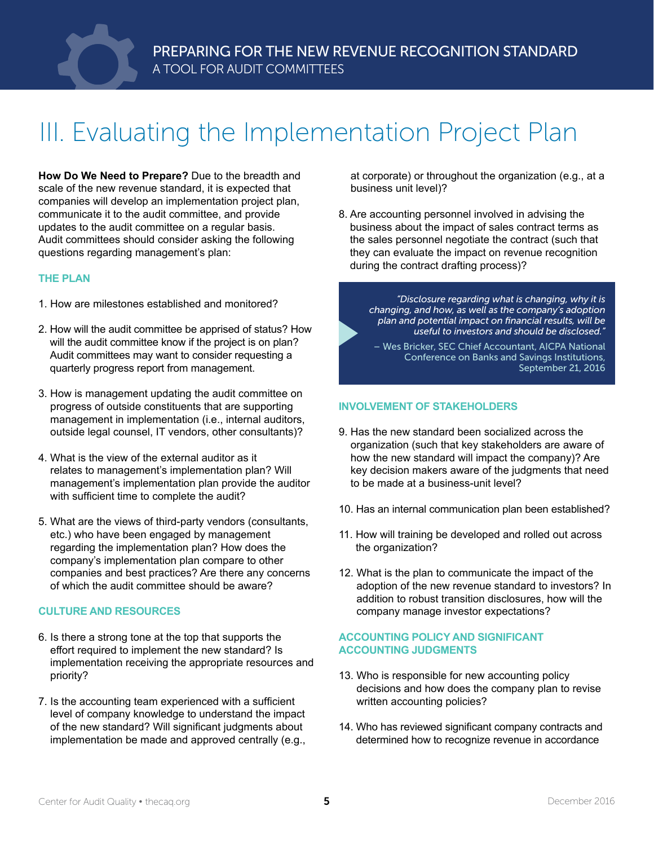

## III. Evaluating the Implementation Project Plan

**How Do We Need to Prepare?** Due to the breadth and scale of the new revenue standard, it is expected that companies will develop an implementation project plan, communicate it to the audit committee, and provide updates to the audit committee on a regular basis. Audit committees should consider asking the following questions regarding management's plan:

#### **THE PLAN**

- 1. How are milestones established and monitored?
- 2. How will the audit committee be apprised of status? How will the audit committee know if the project is on plan? Audit committees may want to consider requesting a quarterly progress report from management.
- 3. How is management updating the audit committee on progress of outside constituents that are supporting management in implementation (i.e., internal auditors, outside legal counsel, IT vendors, other consultants)?
- 4. What is the view of the external auditor as it relates to management's implementation plan? Will management's implementation plan provide the auditor with sufficient time to complete the audit?
- 5. What are the views of third-party vendors (consultants, etc.) who have been engaged by management regarding the implementation plan? How does the company's implementation plan compare to other companies and best practices? Are there any concerns of which the audit committee should be aware?

#### **CULTURE AND RESOURCES**

- 6. Is there a strong tone at the top that supports the effort required to implement the new standard? Is implementation receiving the appropriate resources and priority?
- 7. Is the accounting team experienced with a sufficient level of company knowledge to understand the impact of the new standard? Will significant judgments about implementation be made and approved centrally (e.g.,

at corporate) or throughout the organization (e.g., at a business unit level)?

8. Are accounting personnel involved in advising the business about the impact of sales contract terms as the sales personnel negotiate the contract (such that they can evaluate the impact on revenue recognition during the contract drafting process)?

> *"Disclosure regarding what is changing, why it is changing, and how, as well as the company's adoption plan and potential impact on financial results, will be useful to investors and should be disclosed."*

– Wes Bricker, SEC Chief Accountant, AICPA National Conference on Banks and Savings Institutions, September 21, 2016

#### **INVOLVEMENT OF STAKEHOLDERS**

- 9. Has the new standard been socialized across the organization (such that key stakeholders are aware of how the new standard will impact the company)? Are key decision makers aware of the judgments that need to be made at a business-unit level?
- 10. Has an internal communication plan been established?
- 11. How will training be developed and rolled out across the organization?
- 12. What is the plan to communicate the impact of the adoption of the new revenue standard to investors? In addition to robust transition disclosures, how will the company manage investor expectations?

#### **ACCOUNTING POLICY AND SIGNIFICANT ACCOUNTING JUDGMENTS**

- 13. Who is responsible for new accounting policy decisions and how does the company plan to revise written accounting policies?
- 14. Who has reviewed significant company contracts and determined how to recognize revenue in accordance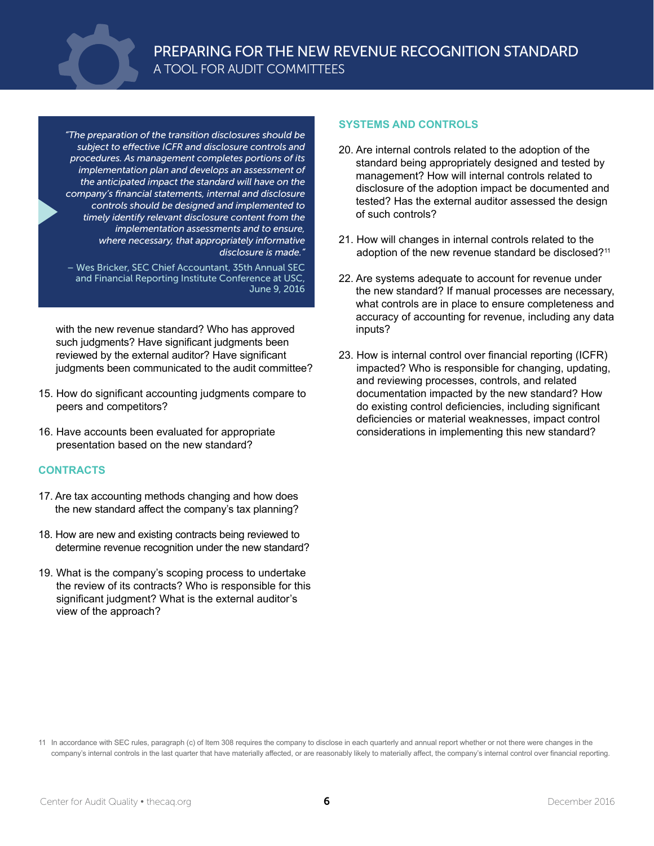

*"The preparation of the transition disclosures should be subject to effective ICFR and disclosure controls and procedures. As management completes portions of its implementation plan and develops an assessment of the anticipated impact the standard will have on the company's financial statements, internal and disclosure controls should be designed and implemented to timely identify relevant disclosure content from the implementation assessments and to ensure, where necessary, that appropriately informative disclosure is made."*

– Wes Bricker, SEC Chief Accountant, 35th Annual SEC and Financial Reporting Institute Conference at USC, June 9, 2016

with the new revenue standard? Who has approved such judgments? Have significant judgments been reviewed by the external auditor? Have significant judgments been communicated to the audit committee?

- 15. How do significant accounting judgments compare to peers and competitors?
- 16. Have accounts been evaluated for appropriate presentation based on the new standard?

#### **CONTRACTS**

- 17. Are tax accounting methods changing and how does the new standard affect the company's tax planning?
- 18. How are new and existing contracts being reviewed to determine revenue recognition under the new standard?
- 19. What is the company's scoping process to undertake the review of its contracts? Who is responsible for this significant judgment? What is the external auditor's view of the approach?

#### **SYSTEMS AND CONTROLS**

- 20. Are internal controls related to the adoption of the standard being appropriately designed and tested by management? How will internal controls related to disclosure of the adoption impact be documented and tested? Has the external auditor assessed the design of such controls?
- 21. How will changes in internal controls related to the adoption of the new revenue standard be disclosed?<sup>11</sup>
- 22. Are systems adequate to account for revenue under the new standard? If manual processes are necessary, what controls are in place to ensure completeness and accuracy of accounting for revenue, including any data inputs?
- 23. How is internal control over financial reporting (ICFR) impacted? Who is responsible for changing, updating, and reviewing processes, controls, and related documentation impacted by the new standard? How do existing control deficiencies, including significant deficiencies or material weaknesses, impact control considerations in implementing this new standard?

<sup>11</sup> In accordance with SEC rules, paragraph (c) of Item 308 requires the company to disclose in each quarterly and annual report whether or not there were changes in the company's internal controls in the last quarter that have materially affected, or are reasonably likely to materially affect, the company's internal control over financial reporting.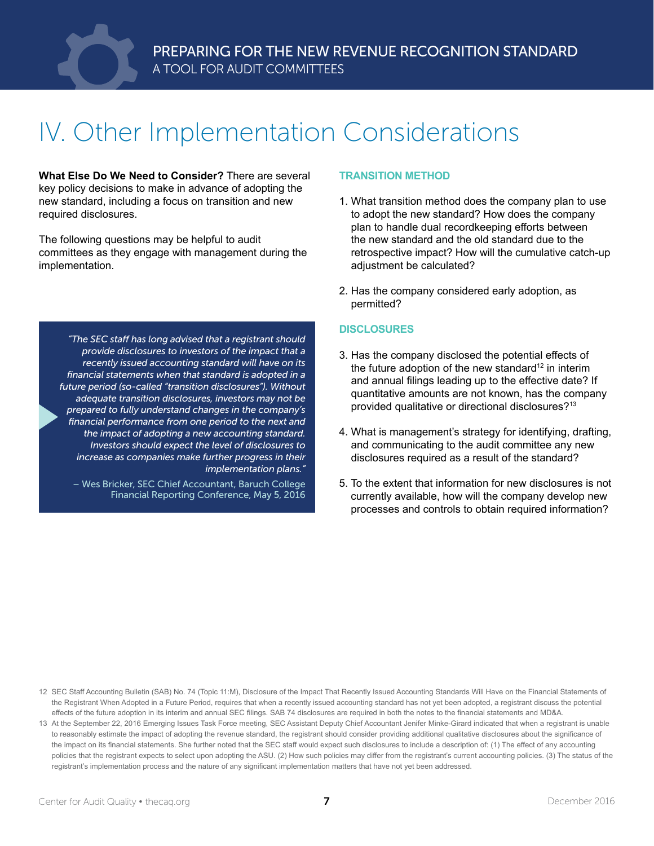

## IV. Other Implementation Considerations

**What Else Do We Need to Consider?** There are several key policy decisions to make in advance of adopting the new standard, including a focus on transition and new required disclosures.

The following questions may be helpful to audit committees as they engage with management during the implementation.

*"The SEC staff has long advised that a registrant should provide disclosures to investors of the impact that a recently issued accounting standard will have on its financial statements when that standard is adopted in a future period (so-called "transition disclosures"). Without adequate transition disclosures, investors may not be prepared to fully understand changes in the company's financial performance from one period to the next and the impact of adopting a new accounting standard. Investors should expect the level of disclosures to increase as companies make further progress in their implementation plans."*

– Wes Bricker, SEC Chief Accountant, Baruch College Financial Reporting Conference, May 5, 2016

#### **TRANSITION METHOD**

- 1. What transition method does the company plan to use to adopt the new standard? How does the company plan to handle dual recordkeeping efforts between the new standard and the old standard due to the retrospective impact? How will the cumulative catch-up adjustment be calculated?
- 2. Has the company considered early adoption, as permitted?

#### **DISCLOSURES**

- 3. Has the company disclosed the potential effects of the future adoption of the new standard $12$  in interim and annual filings leading up to the effective date? If quantitative amounts are not known, has the company provided qualitative or directional disclosures?<sup>13</sup>
- 4. What is management's strategy for identifying, drafting, and communicating to the audit committee any new disclosures required as a result of the standard?
- 5. To the extent that information for new disclosures is not currently available, how will the company develop new processes and controls to obtain required information?

- 12 SEC Staff Accounting Bulletin (SAB) No. 74 (Topic 11:M), Disclosure of the Impact That Recently Issued Accounting Standards Will Have on the Financial Statements of the Registrant When Adopted in a Future Period, requires that when a recently issued accounting standard has not yet been adopted, a registrant discuss the potential effects of the future adoption in its interim and annual SEC filings. SAB 74 disclosures are required in both the notes to the financial statements and MD&A.
- 13 At the September 22, 2016 Emerging Issues Task Force meeting, SEC Assistant Deputy Chief Accountant Jenifer Minke-Girard indicated that when a registrant is unable to reasonably estimate the impact of adopting the revenue standard, the registrant should consider providing additional qualitative disclosures about the significance of the impact on its financial statements. She further noted that the SEC staff would expect such disclosures to include a description of: (1) The effect of any accounting policies that the registrant expects to select upon adopting the ASU. (2) How such policies may differ from the registrant's current accounting policies. (3) The status of the registrant's implementation process and the nature of any significant implementation matters that have not yet been addressed.